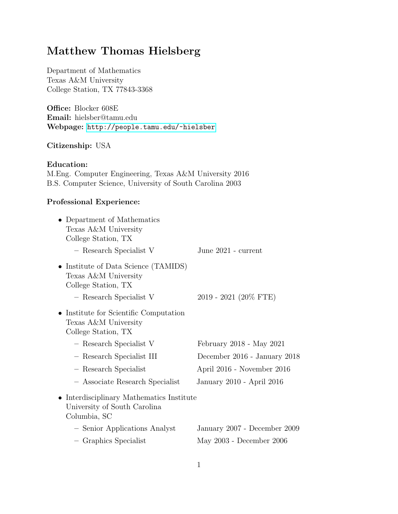# Matthew Thomas Hielsberg

Department of Mathematics Texas A&M University College Station, TX 77843-3368

Office: Blocker 608E Email: hielsber@tamu.edu Webpage: <http://people.tamu.edu/~hielsber>

# Citizenship: USA

# Education:

M.Eng. Computer Engineering, Texas A&M University 2016 B.S. Computer Science, University of South Carolina 2003

# Professional Experience:

| • Department of Mathematics<br>Texas A&M University<br>College Station, TX                |                              |
|-------------------------------------------------------------------------------------------|------------------------------|
| - Research Specialist V                                                                   | June 2021 - current          |
| • Institute of Data Science (TAMIDS)<br>Texas A&M University<br>College Station, TX       |                              |
| - Research Specialist V                                                                   | 2019 - 2021 (20% FTE)        |
| • Institute for Scientific Computation<br>Texas A&M University<br>College Station, TX     |                              |
| - Research Specialist V                                                                   | February 2018 - May 2021     |
| - Research Specialist III                                                                 | December 2016 - January 2018 |
| - Research Specialist                                                                     | April 2016 - November 2016   |
| - Associate Research Specialist                                                           | January 2010 - April 2016    |
| • Interdisciplinary Mathematics Institute<br>University of South Carolina<br>Columbia, SC |                              |
| - Senior Applications Analyst                                                             | January 2007 - December 2009 |
| - Graphics Specialist                                                                     | May 2003 - December 2006     |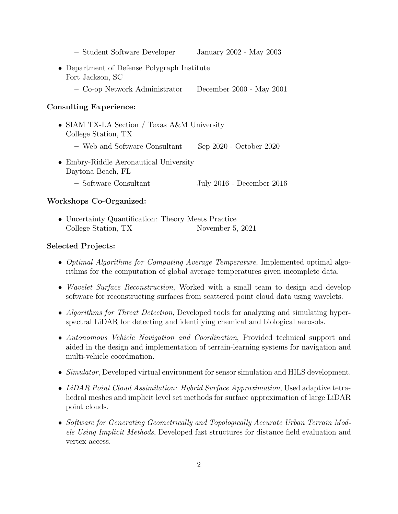- Student Software Developer January 2002 May 2003
- Department of Defense Polygraph Institute Fort Jackson, SC
	- Co-op Network Administrator December 2000 May 2001

# Consulting Experience:

- SIAM TX-LA Section / Texas A&M University College Station, TX – Web and Software Consultant Sep 2020 - October 2020
- Embry-Riddle Aeronautical University Daytona Beach, FL
	- Software Consultant July 2016 December 2016

# Workshops Co-Organized:

• Uncertainty Quantification: Theory Meets Practice College Station, TX November 5, 2021

## Selected Projects:

- Optimal Algorithms for Computing Average Temperature, Implemented optimal algorithms for the computation of global average temperatures given incomplete data.
- *Wavelet Surface Reconstruction*, Worked with a small team to design and develop software for reconstructing surfaces from scattered point cloud data using wavelets.
- Algorithms for Threat Detection, Developed tools for analyzing and simulating hyperspectral LiDAR for detecting and identifying chemical and biological aerosols.
- Autonomous Vehicle Navigation and Coordination, Provided technical support and aided in the design and implementation of terrain-learning systems for navigation and multi-vehicle coordination.
- Simulator, Developed virtual environment for sensor simulation and HILS development.
- LiDAR Point Cloud Assimilation: Hybrid Surface Approximation, Used adaptive tetrahedral meshes and implicit level set methods for surface approximation of large LiDAR point clouds.
- Software for Generating Geometrically and Topologically Accurate Urban Terrain Models Using Implicit Methods, Developed fast structures for distance field evaluation and vertex access.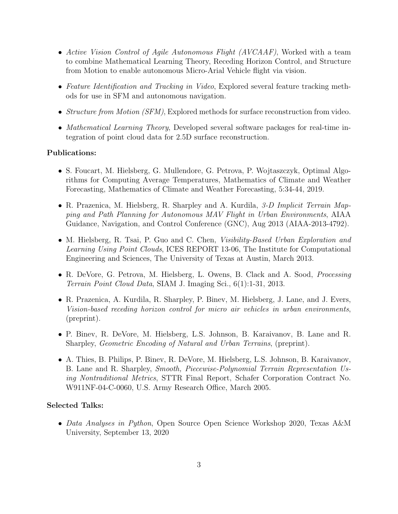- Active Vision Control of Agile Autonomous Flight (AVCAAF), Worked with a team to combine Mathematical Learning Theory, Receding Horizon Control, and Structure from Motion to enable autonomous Micro-Arial Vehicle flight via vision.
- Feature Identification and Tracking in Video, Explored several feature tracking methods for use in SFM and autonomous navigation.
- Structure from Motion (SFM), Explored methods for surface reconstruction from video.
- Mathematical Learning Theory, Developed several software packages for real-time integration of point cloud data for 2.5D surface reconstruction.

#### Publications:

- S. Foucart, M. Hielsberg, G. Mullendore, G. Petrova, P. Wojtaszczyk, Optimal Algorithms for Computing Average Temperatures, Mathematics of Climate and Weather Forecasting, Mathematics of Climate and Weather Forecasting, 5:34-44, 2019.
- R. Prazenica, M. Hielsberg, R. Sharpley and A. Kurdila, 3-D Implicit Terrain Mapping and Path Planning for Autonomous MAV Flight in Urban Environments, AIAA Guidance, Navigation, and Control Conference (GNC), Aug 2013 (AIAA-2013-4792).
- M. Hielsberg, R. Tsai, P. Guo and C. Chen, Visibility-Based Urban Exploration and Learning Using Point Clouds, ICES REPORT 13-06, The Institute for Computational Engineering and Sciences, The University of Texas at Austin, March 2013.
- R. DeVore, G. Petrova, M. Hielsberg, L. Owens, B. Clack and A. Sood, Processing Terrain Point Cloud Data, SIAM J. Imaging Sci., 6(1):1-31, 2013.
- R. Prazenica, A. Kurdila, R. Sharpley, P. Binev, M. Hielsberg, J. Lane, and J. Evers, Vision-based receding horizon control for micro air vehicles in urban environments, (preprint).
- P. Binev, R. DeVore, M. Hielsberg, L.S. Johnson, B. Karaivanov, B. Lane and R. Sharpley, Geometric Encoding of Natural and Urban Terrains, (preprint).
- A. Thies, B. Philips, P. Binev, R. DeVore, M. Hielsberg, L.S. Johnson, B. Karaivanov, B. Lane and R. Sharpley, Smooth, Piecewise-Polynomial Terrain Representation Using Nontraditional Metrics, STTR Final Report, Schafer Corporation Contract No. W911NF-04-C-0060, U.S. Army Research Office, March 2005.

## Selected Talks:

• Data Analyses in Python, Open Source Open Science Workshop 2020, Texas A&M University, September 13, 2020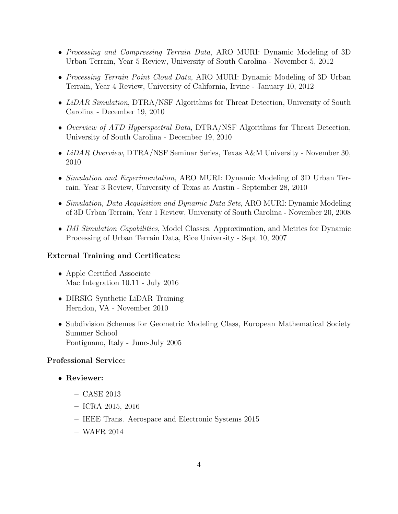- Processing and Compressing Terrain Data, ARO MURI: Dynamic Modeling of 3D Urban Terrain, Year 5 Review, University of South Carolina - November 5, 2012
- *Processing Terrain Point Cloud Data*, ARO MURI: Dynamic Modeling of 3D Urban Terrain, Year 4 Review, University of California, Irvine - January 10, 2012
- LiDAR Simulation, DTRA/NSF Algorithms for Threat Detection, University of South Carolina - December 19, 2010
- Overview of ATD Hyperspectral Data, DTRA/NSF Algorithms for Threat Detection, University of South Carolina - December 19, 2010
- LiDAR Overview, DTRA/NSF Seminar Series, Texas A&M University November 30, 2010
- Simulation and Experimentation, ARO MURI: Dynamic Modeling of 3D Urban Terrain, Year 3 Review, University of Texas at Austin - September 28, 2010
- Simulation, Data Acquisition and Dynamic Data Sets, ARO MURI: Dynamic Modeling of 3D Urban Terrain, Year 1 Review, University of South Carolina - November 20, 2008
- IMI Simulation Capabilities, Model Classes, Approximation, and Metrics for Dynamic Processing of Urban Terrain Data, Rice University - Sept 10, 2007

## External Training and Certificates:

- Apple Certified Associate Mac Integration 10.11 - July 2016
- DIRSIG Synthetic LiDAR Training Herndon, VA - November 2010
- Subdivision Schemes for Geometric Modeling Class, European Mathematical Society Summer School Pontignano, Italy - June-July 2005

## Professional Service:

- Reviewer:
	- CASE 2013
	- ICRA 2015, 2016
	- IEEE Trans. Aerospace and Electronic Systems 2015
	- WAFR 2014